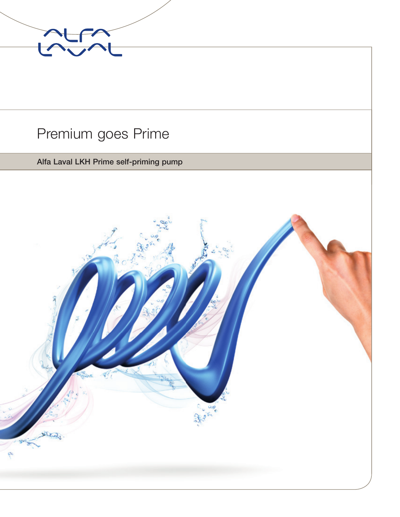

### Premium goes Prime

#### Alfa Laval LKH Prime self-priming pump

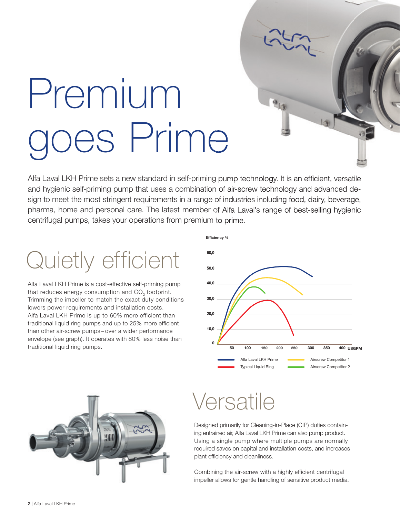# Premium oes Prime

Alfa Laval LKH Prime sets a new standard in self-priming pump technology. It is an efficient, versatile and hygienic self-priming pump that uses a combination of air-screw technology and advanced design to meet the most stringent requirements in a range of industries including food, dairy, beverage, pharma, home and personal care. The latest member of Alfa Laval's range of best-selling hygienic centrifugal pumps, takes your operations from premium to prime.

## Quietly efficient

Alfa Laval LKH Prime is a cost-effective self-priming pump that reduces energy consumption and CO<sub>2</sub> footprint. Trimming the impeller to match the exact duty conditions lowers power requirements and installation costs. Alfa Laval LKH Prime is up to 60% more efficient than traditional liquid ring pumps and up to 25% more efficient than other air-screw pumps – over a wider performance envelope (see graph). It operates with 80% less noise than traditional liquid ring pumps.





### Versatile

Designed primarily for Cleaning-in-Place (CIP) duties containing entrained air, Alfa Laval LKH Prime can also pump product. Using a single pump where multiple pumps are normally required saves on capital and installation costs, and increases plant efficiency and cleanliness.

Combining the air-screw with a highly efficient centrifugal impeller allows for gentle handling of sensitive product media.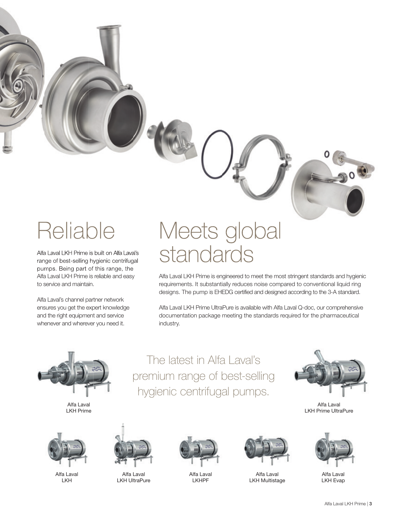range of best-selling hygienic centrifugal pumps. Being part of this range, the Alfa Laval LKH Prime is reliable and easy to service and maintain.

Alfa Laval's channel partner network ensures you get the expert knowledge and the right equipment and service whenever and wherever you need it.

### Reliable Meets global Alfa Laval LKH Prime is built on Alfa Laval's<br>range of best-selling hygienic centrifugal  $\quad$  Stand Clard  $\Gamma$

Alfa Laval LKH Prime is engineered to meet the most stringent standards and hygienic requirements. It substantially reduces noise compared to conventional liquid ring designs. The pump is EHEDG certified and designed according to the 3-A standard.

Alfa Laval LKH Prime UltraPure is available with Alfa Laval Q-doc, our comprehensive documentation package meeting the standards required for the pharmaceutical industry.



Alfa Laval LKH Prime



Alfa Laval LKH



Alfa Laval LKH UltraPure



The latest in Alfa Laval's

premium range of best-selling

hygienic centrifugal pumps.

Alfa Laval LKHPF



Alfa Laval LKH Multistage



Alfa Laval LKH Prime UltraPure



Alfa Laval LKH Evap